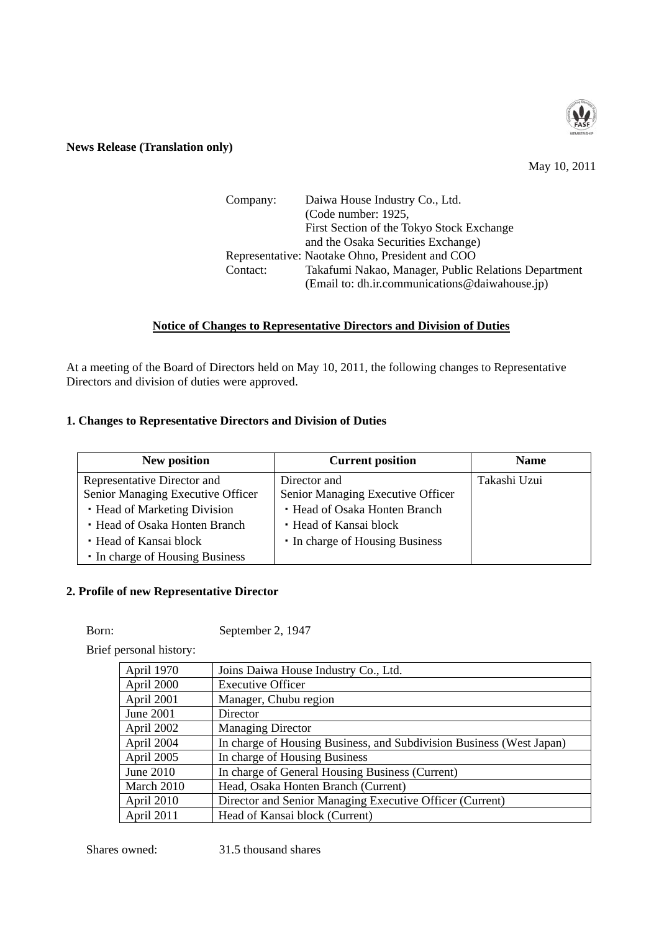

#### **News Release (Translation only)**

May 10, 2011

| Company: | Daiwa House Industry Co., Ltd.                       |
|----------|------------------------------------------------------|
|          | (Code number: 1925,                                  |
|          | First Section of the Tokyo Stock Exchange            |
|          | and the Osaka Securities Exchange)                   |
|          | Representative: Naotake Ohno, President and COO      |
| Contact: | Takafumi Nakao, Manager, Public Relations Department |
|          | (Email to: dh.ir.communications@daiwahouse.jp)       |

## **Notice of Changes to Representative Directors and Division of Duties**

At a meeting of the Board of Directors held on May 10, 2011, the following changes to Representative Directors and division of duties were approved.

## **1. Changes to Representative Directors and Division of Duties**

| <b>New position</b>               | <b>Current position</b>           | <b>Name</b>  |
|-----------------------------------|-----------------------------------|--------------|
| Representative Director and       | Director and                      | Takashi Uzui |
| Senior Managing Executive Officer | Senior Managing Executive Officer |              |
| • Head of Marketing Division      | • Head of Osaka Honten Branch     |              |
| • Head of Osaka Honten Branch     | • Head of Kansai block            |              |
| • Head of Kansai block            | • In charge of Housing Business   |              |
| • In charge of Housing Business   |                                   |              |

## **2. Profile of new Representative Director**

Born: September 2, 1947

Brief personal history:

| April 1970 | Joins Daiwa House Industry Co., Ltd.                                 |
|------------|----------------------------------------------------------------------|
| April 2000 | <b>Executive Officer</b>                                             |
| April 2001 | Manager, Chubu region                                                |
| June 2001  | Director                                                             |
| April 2002 | <b>Managing Director</b>                                             |
| April 2004 | In charge of Housing Business, and Subdivision Business (West Japan) |
| April 2005 | In charge of Housing Business                                        |
| June 2010  | In charge of General Housing Business (Current)                      |
| March 2010 | Head, Osaka Honten Branch (Current)                                  |
| April 2010 | Director and Senior Managing Executive Officer (Current)             |
| April 2011 | Head of Kansai block (Current)                                       |

Shares owned: 31.5 thousand shares